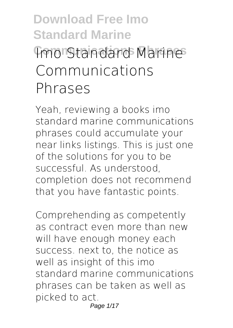# **Download Free Imo Standard Marine Imo Standard Marines Communications Phrases**

Yeah, reviewing a books **imo standard marine communications phrases** could accumulate your near links listings. This is just one of the solutions for you to be successful. As understood, completion does not recommend that you have fantastic points.

Comprehending as competently as contract even more than new will have enough money each success. next to, the notice as well as insight of this imo standard marine communications phrases can be taken as well as picked to act. Page 1/17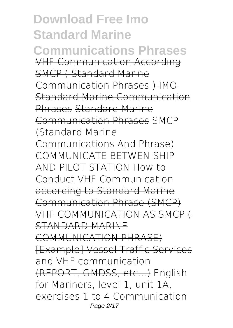**Download Free Imo Standard Marine Communications Phrases** VHF Communication According SMCP ( Standard Marine Communication Phrases ) IMO Standard Marine Communication Phrases Standard Marine Communication Phrases *SMCP (Standard Marine Communications And Phrase) COMMUNICATE BETWEN SHIP AND PILOT STATION* How to Conduct VHF Communication according to Standard Marine Communication Phrase (SMCP) VHF COMMUNICATION AS SMCP ( STANDARD MARINE COMMUNICATION PHRASE) [Example] Vessel Traffic Services and VHF communication (REPORT, GMDSS, etc...) *English for Mariners, level 1, unit 1A, exercises 1 to 4 Communication* Page 2/17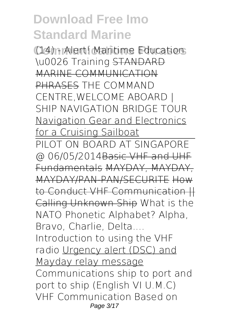**Communications Phrases** *(14) - Alert! Maritime Education \u0026 Training* STANDARD MARINE COMMUNICATION PHRASES *THE COMMAND CENTRE,WELCOME ABOARD | SHIP NAVIGATION BRIDGE TOUR* Navigation Gear and Electronics for a Cruising Sailboat PILOT ON BOARD AT SINGAPORE @ 06/05/2014Basic VHF and UHF Fundamentals MAYDAY, MAYDAY, MAYDAY/PAN-PAN/SECURITE How to Conduct VHF Communication || Calling Unknown Ship *What is the NATO Phonetic Alphabet? Alpha, Bravo, Charlie, Delta.... Introduction to using the VHF radio* Urgency alert (DSC) and Mayday relay message *Communications ship to port and port to ship (English VI U.M.C)* VHF Communication Based on Page 3/17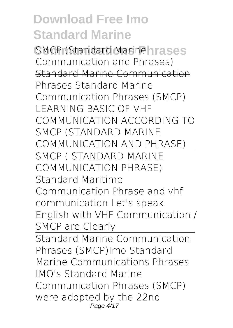**COMCP (Standard Marinehrases** Communication and Phrases) Standard Marine Communication Phrases Standard Marine Communication Phrases (SMCP) **LEARNING BASIC OF VHF COMMUNICATION ACCORDING TO SMCP (STANDARD MARINE COMMUNICATION AND PHRASE)** SMCP ( STANDARD MARINE COMMUNICATION PHRASE) *Standard Maritime Communication Phrase and vhf communication Let's speak English with VHF Communication / SMCP are Clearly* Standard Marine Communication Phrases (SMCP)*Imo Standard Marine Communications Phrases* IMO's Standard Marine Communication Phrases (SMCP) were adopted by the 22nd Page  $4/17$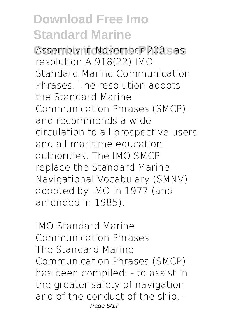Assembly in November 2001 as resolution A.918(22) IMO Standard Marine Communication Phrases. The resolution adopts the Standard Marine Communication Phrases (SMCP) and recommends a wide circulation to all prospective users and all maritime education authorities. The IMO SMCP replace the Standard Marine Navigational Vocabulary (SMNV) adopted by IMO in 1977 (and amended in 1985).

*IMO Standard Marine Communication Phrases* The Standard Marine Communication Phrases (SMCP) has been compiled: - to assist in the greater safety of navigation and of the conduct of the ship, - Page 5/17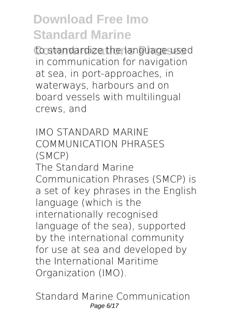to standardize the language used in communication for navigation at sea, in port-approaches, in waterways, harbours and on board vessels with multilingual crews, and

*IMO STANDARD MARINE COMMUNICATION PHRASES (SMCP)* The Standard Marine Communication Phrases (SMCP) is a set of key phrases in the English language (which is the internationally recognised language of the sea), supported by the international community for use at sea and developed by the International Maritime Organization (IMO).

*Standard Marine Communication* Page 6/17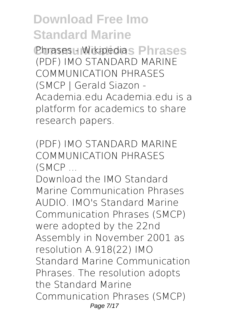**Communications Phrases** *Phrases - Wikipedia* (PDF) IMO STANDARD MARINE COMMUNICATION PHRASES (SMCP | Gerald Siazon - Academia.edu Academia.edu is a platform for academics to share research papers.

*(PDF) IMO STANDARD MARINE COMMUNICATION PHRASES (SMCP ...*

Download the IMO Standard Marine Communication Phrases AUDIO. IMO's Standard Marine Communication Phrases (SMCP) were adopted by the 22nd Assembly in November 2001 as resolution A.918(22) IMO Standard Marine Communication Phrases. The resolution adopts the Standard Marine Communication Phrases (SMCP) Page 7/17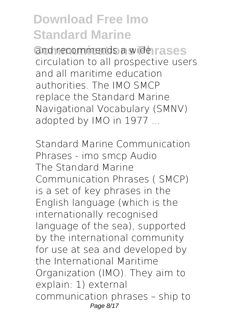**Commends a wide rases** circulation to all prospective users and all maritime education authorities. The IMO SMCP replace the Standard Marine Navigational Vocabulary (SMNV) adopted by IMO in 1977 ...

*Standard Marine Communication Phrases - imo smcp Audio* The Standard Marine Communication Phrases ( SMCP) is a set of key phrases in the English language (which is the internationally recognised language of the sea), supported by the international community for use at sea and developed by the International Maritime Organization (IMO). They aim to explain: 1) external communication phrases – ship to Page 8/17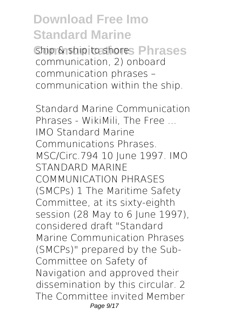**Chip & ship to shores Phrases** communication, 2) onboard communication phrases – communication within the ship.

*Standard Marine Communication Phrases - WikiMili, The Free ...* IMO Standard Marine Communications Phrases. MSC/Circ.794 10 June 1997. IMO STANDARD MARINE COMMUNICATION PHRASES (SMCPs) 1 The Maritime Safety Committee, at its sixty-eighth session (28 May to 6 June 1997), considered draft "Standard Marine Communication Phrases (SMCPs)" prepared by the Sub-Committee on Safety of Navigation and approved their dissemination by this circular. 2 The Committee invited Member Page  $9/17$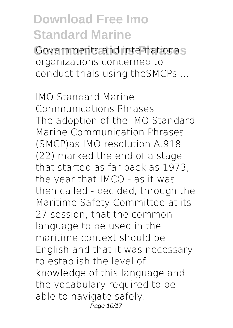Governments and internationals organizations concerned to conduct trials using theSMCPs ...

*IMO Standard Marine Communications Phrases* The adoption of the IMO Standard Marine Communication Phrases (SMCP)as IMO resolution A.918 (22) marked the end of a stage that started as far back as 1973, the year that IMCO - as it was then called - decided, through the Maritime Safety Committee at its 27 session, that the common language to be used in the maritime context should be English and that it was necessary to establish the level of knowledge of this language and the vocabulary required to be able to navigate safely. Page 10/17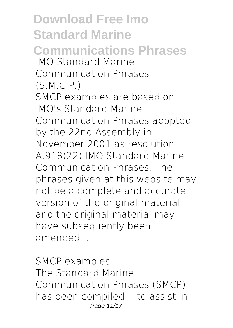**Download Free Imo Standard Marine Communications Phrases** *IMO Standard Marine Communication Phrases (S.M.C.P.)* SMCP examples are based on IMO's Standard Marine Communication Phrases adopted by the 22nd Assembly in November 2001 as resolution A.918(22) IMO Standard Marine Communication Phrases. The phrases given at this website may not be a complete and accurate version of the original material and the original material may have subsequently been amended ...

*SMCP examples* The Standard Marine Communication Phrases (SMCP) has been compiled: - to assist in Page 11/17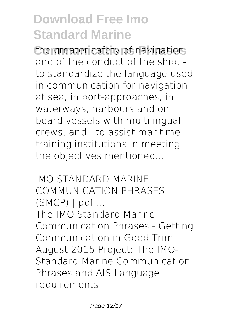the greater safety of navigations and of the conduct of the ship, to standardize the language used in communication for navigation at sea, in port-approaches, in waterways, harbours and on board vessels with multilingual crews, and - to assist maritime training institutions in meeting the objectives mentioned...

*IMO STANDARD MARINE COMMUNICATION PHRASES (SMCP) | pdf ...*

The IMO Standard Marine Communication Phrases - Getting Communication in Godd Trim August 2015 Project: The IMO-Standard Marine Communication Phrases and AIS Language requirements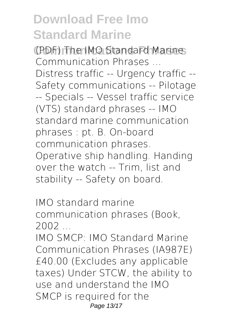**Communications Phrases** *(PDF) The IMO Standard Marine Communication Phrases ...*

Distress traffic -- Urgency traffic -- Safety communications -- Pilotage -- Specials -- Vessel traffic service (VTS) standard phrases -- IMO standard marine communication phrases : pt. B. On-board communication phrases. Operative ship handling. Handing over the watch -- Trim, list and stability -- Safety on board.

*IMO standard marine communication phrases (Book, 2002 ...*

IMO SMCP: IMO Standard Marine Communication Phrases (IA987E) £40.00 (Excludes any applicable taxes) Under STCW, the ability to use and understand the IMO SMCP is required for the Page 13/17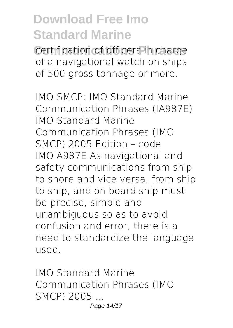**Certification of officers in charge** of a navigational watch on ships of 500 gross tonnage or more.

*IMO SMCP: IMO Standard Marine Communication Phrases (IA987E)* IMO Standard Marine Communication Phrases (IMO SMCP) 2005 Edition – code IMOIA987E As navigational and safety communications from ship to shore and vice versa, from ship to ship, and on board ship must be precise, simple and unambiguous so as to avoid confusion and error, there is a need to standardize the language used.

*IMO Standard Marine Communication Phrases (IMO SMCP) 2005 ...* Page 14/17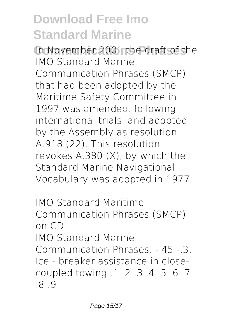**Communications Phrases** In November 2001 the draft of the IMO Standard Marine Communication Phrases (SMCP) that had been adopted by the Maritime Safety Committee in 1997 was amended, following international trials, and adopted by the Assembly as resolution A.918 (22). This resolution revokes A.380 (X), by which the Standard Marine Navigational Vocabulary was adopted in 1977.

*IMO Standard Maritime Communication Phrases (SMCP) on CD* IMO Standard Marine Communication Phrases. - 45 -.3. Ice - breaker assistance in closecoupled towing .1 .2 .3 .4 .5 .6 .7 .8 .9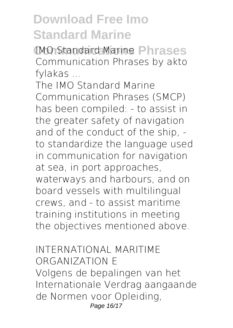**Communications Phrases** *IMO Standard Marine Communication Phrases by akto fylakas ...*

The IMO Standard Marine Communication Phrases (SMCP) has been compiled: - to assist in the greater safety of navigation and of the conduct of the ship, to standardize the language used in communication for navigation at sea, in port approaches, waterways and harbours, and on board vessels with multilingual crews, and - to assist maritime training institutions in meeting the objectives mentioned above.

*INTERNATIONAL MARITIME ORGANIZATION E* Volgens de bepalingen van het Internationale Verdrag aangaande de Normen voor Opleiding, Page 16/17